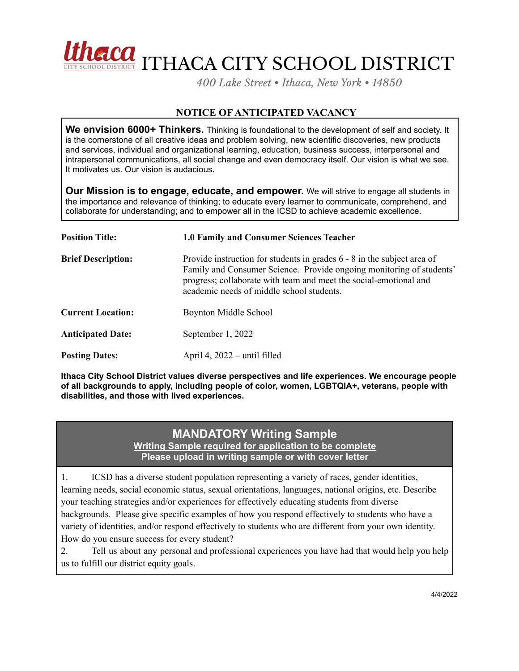

*400 Lake Street • Ithaca, New York • 14850*

## **NOTICE OF ANTICIPATED VACANCY**

**We envision 6000+ Thinkers.** Thinking is foundational to the development of self and society. It is the cornerstone of all creative ideas and problem solving, new scientific discoveries, new products and services, individual and organizational learning, education, business success, interpersonal and intrapersonal communications, all social change and even democracy itself. Our vision is what we see. It motivates us. Our vision is audacious.

**Our Mission is to engage, educate, and empower.** We will strive to engage all students in the importance and relevance of thinking; to educate every learner to communicate, comprehend, and collaborate for understanding; and to empower all in the ICSD to achieve academic excellence.

| <b>Position Title:</b>    | <b>1.0 Family and Consumer Sciences Teacher</b>                                                                                                                                                                                                                   |
|---------------------------|-------------------------------------------------------------------------------------------------------------------------------------------------------------------------------------------------------------------------------------------------------------------|
| <b>Brief Description:</b> | Provide instruction for students in grades 6 - 8 in the subject area of<br>Family and Consumer Science. Provide ongoing monitoring of students'<br>progress; collaborate with team and meet the social-emotional and<br>academic needs of middle school students. |
| <b>Current Location:</b>  | Boynton Middle School                                                                                                                                                                                                                                             |
| <b>Anticipated Date:</b>  | September 1, 2022                                                                                                                                                                                                                                                 |
| <b>Posting Dates:</b>     | April 4, $2022$ – until filled                                                                                                                                                                                                                                    |

**Ithaca City School District values diverse perspectives and life experiences. We encourage people of all backgrounds to apply, including people of color, women, LGBTQIA+, veterans, people with disabilities, and those with lived experiences.**

## **MANDATORY Writing Sample**

**Writing Sample required for application to be complete Please upload in writing sample or with cover letter**

1. ICSD has a diverse student population representing a variety of races, gender identities, learning needs, social economic status, sexual orientations, languages, national origins, etc. Describe your teaching strategies and/or experiences for effectively educating students from diverse backgrounds. Please give specific examples of how you respond effectively to students who have a variety of identities, and/or respond effectively to students who are different from your own identity. How do you ensure success for every student?

2. Tell us about any personal and professional experiences you have had that would help you help us to fulfill our district equity goals.